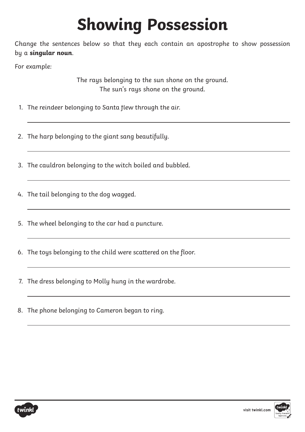## **Showing Possession**

Change the sentences below so that they each contain an apostrophe to show possession by a **singular noun**.

For example:

The rays belonging to the sun shone on the ground. The sun's rays shone on the ground.

- 1. The reindeer belonging to Santa flew through the air.
- 2. The harp belonging to the giant sang beautifully.
- 3. The cauldron belonging to the witch boiled and bubbled.
- 4. The tail belonging to the dog wagged.
- 5. The wheel belonging to the car had a puncture.
- 6. The toys belonging to the child were scattered on the floor.
- 7. The dress belonging to Molly hung in the wardrobe.
- 8. The phone belonging to Cameron began to ring.